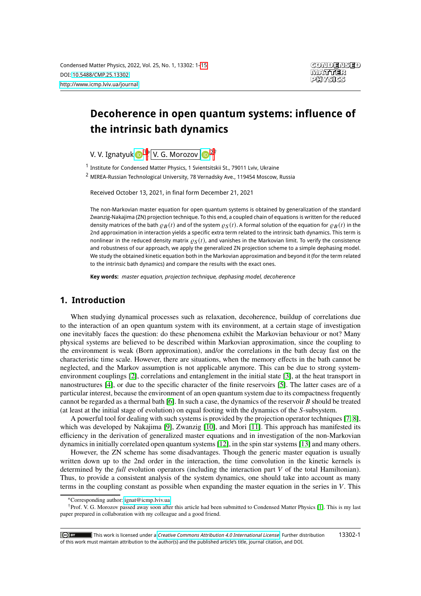# **Decoherence in open quantum systems: influence of the intrinsic bath dynamics**

V. V. Ignatyuk D <sup>[1](#page-0-0)</sup>\*, V. G. Morozov D <sup>[2](#page-0-1)†</sup>

<span id="page-0-0"></span><sup>1</sup> Institute for Condensed Matter Physics, 1 Svientsitskii St., 79011 Lviv, Ukraine

<span id="page-0-1"></span><sup>2</sup> MIREA-Russian Technological University, 78 Vernadsky Ave., 119454 Moscow, Russia

Received October 13, 2021, in final form December 21, 2021

The non-Markovian master equation for open quantum systems is obtained by generalization of the standard Zwanzig-Nakajima (ZN) projection technique. To this end, a coupled chain of equations is written for the reduced density matrices of the bath  $\varrho_B(t)$  and of the system  $\varrho_S(t)$ . A formal solution of the equation for  $\varrho_B(t)$  in the 2nd approximation in interaction yields a specific extra term related to the intrinsic bath dynamics. This term is nonlinear in the reduced density matrix  $\rho_S(t)$ , and vanishes in the Markovian limit. To verify the consistence and robustness of our approach, we apply the generalized ZN projection scheme to a simple dephasing model. We study the obtained kinetic equation both in the Markovian approximation and beyond it (for the term related to the intrinsic bath dynamics) and compare the results with the exact ones.

**Key words:** master equation, projection technique, dephasing model, decoherence

#### **1. Introduction**

When studying dynamical processes such as relaxation, decoherence, buildup of correlations due to the interaction of an open quantum system with its environment, at a certain stage of investigation one inevitably faces the question: do these phenomena exhibit the Markovian behaviour or not? Many physical systems are believed to be described within Markovian approximation, since the coupling to the environment is weak (Born approximation), and/or the correlations in the bath decay fast on the characteristic time scale. However, there are situations, when the memory effects in the bath cannot be neglected, and the Markov assumption is not applicable anymore. This can be due to strong systemenvironment couplings [\[2\]](#page-13-0), correlations and entanglement in the initial state [\[3\]](#page-13-1), at the heat transport in nanostructures [\[4\]](#page-13-2), or due to the specific character of the finite reservoirs [\[5\]](#page-13-3). The latter cases are of a particular interest, because the environment of an open quantum system due to its compactness frequently cannot be regarded as a thermal bath [\[6\]](#page-13-4). In such a case, the dynamics of the reservoir  $B$  should be treated (at least at the initial stage of evolution) on equal footing with the dynamics of the S-subsystem.

A powerful tool for dealing with such systems is provided by the projection operator techniques [\[7,](#page-13-5) [8\]](#page-13-6), which was developed by Nakajima [\[9\]](#page-13-7), Zwanzig [\[10\]](#page-13-8), and Mori [\[11\]](#page-13-9). This approach has manifested its efficiency in the derivation of generalized master equations and in investigation of the non-Markovian dynamics in initially correlated open quantum systems [\[12\]](#page-13-10), in the spin star systems [\[13\]](#page-13-11) and many others.

However, the ZN scheme has some disadvantages. Though the generic master equation is usually written down up to the 2nd order in the interaction, the time convolution in the kinetic kernels is determined by the *full* evolution operators (including the interaction part V of the total Hamiltonian). Thus, to provide a consistent analysis of the system dynamics, one should take into account as many terms in the coupling constant as possible when expanding the master equation in the series in  $V$ . This

<sup>∗</sup>Corresponding author: [ignat@icmp.lviv.ua.](mailto:ignat@icmp.lviv.ua)

<sup>†</sup>Prof. V. G. Morozov passed away soon after this article had been submitted to Condensed Matter Physics [\[1\]](#page-13-12). This is my last paper prepared in collaboration with my colleague and a good friend.

<sup>13302-1</sup> $\overline{c}$   $\overline{c}$   $\overline{c}$  $\blacksquare$  This work is licensed under a *[Creative Commons Attribution 4.0 International License](https://creativecommons.org/licenses/by/4.0/)*. Further distribution of this work must maintain attribution to the author(s) and the published article's title, journal citation, and DOI.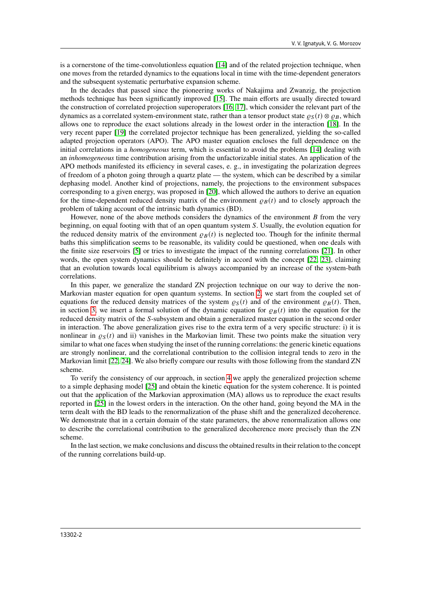is a cornerstone of the time-convolutionless equation [\[14\]](#page-13-13) and of the related projection technique, when one moves from the retarded dynamics to the equations local in time with the time-dependent generators and the subsequent systematic perturbative expansion scheme.

In the decades that passed since the pioneering works of Nakajima and Zwanzig, the projection methods technique has been significantly improved [\[15\]](#page-13-14). The main efforts are usually directed toward the construction of correlated projection superoperators [\[16,](#page-13-15) [17\]](#page-13-16), which consider the relevant part of the dynamics as a correlated system-environment state, rather than a tensor product state  $\rho_S(t) \otimes \rho_R$ , which allows one to reproduce the exact solutions already in the lowest order in the interaction [\[18\]](#page-13-17). In the very recent paper [\[19\]](#page-13-18) the correlated projector technique has been generalized, yielding the so-called adapted projection operators (APO). The APO master equation encloses the full dependence on the initial correlations in a *homogeneous* term, which is essential to avoid the problems [\[14\]](#page-13-13) dealing with an *inhomogeneous* time contribution arising from the unfactorizable initial states. An application of the APO methods manifested its efficiency in several cases, e. g., in investigating the polarization degrees of freedom of a photon going through a quartz plate — the system, which can be described by a similar dephasing model. Another kind of projections, namely, the projections to the environment subspaces corresponding to a given energy, was proposed in [\[20\]](#page-13-19), which allowed the authors to derive an equation for the time-dependent reduced density matrix of the environment  $\rho_B(t)$  and to closely approach the problem of taking account of the intrinsic bath dynamics (BD).

However, none of the above methods considers the dynamics of the environment  $B$  from the very beginning, on equal footing with that of an open quantum system S. Usually, the evolution equation for the reduced density matrix of the environment  $\rho_B(t)$  is neglected too. Though for the infinite thermal baths this simplification seems to be reasonable, its validity could be questioned, when one deals with the finite size reservoirs [\[5\]](#page-13-3) or tries to investigate the impact of the running correlations [\[21\]](#page-13-20). In other words, the open system dynamics should be definitely in accord with the concept [\[22,](#page-13-21) [23\]](#page-13-22), claiming that an evolution towards local equilibrium is always accompanied by an increase of the system-bath correlations.

In this paper, we generalize the standard ZN projection technique on our way to derive the non-Markovian master equation for open quantum systems. In section [2,](#page-2-0) we start from the coupled set of equations for the reduced density matrices of the system  $\rho_S(t)$  and of the environment  $\rho_B(t)$ . Then, in section [3,](#page-4-0) we insert a formal solution of the dynamic equation for  $\rho_B(t)$  into the equation for the reduced density matrix of the S-subsystem and obtain a generalized master equation in the second order in interaction. The above generalization gives rise to the extra term of a very specific structure: i) it is nonlinear in  $\rho_S(t)$  and ii) vanishes in the Markovian limit. These two points make the situation very similar to what one faces when studying the inset of the running correlations: the generic kinetic equations are strongly nonlinear, and the correlational contribution to the collision integral tends to zero in the Markovian limit [\[22,](#page-13-21) [24\]](#page-13-23). We also briefly compare our results with those following from the standard ZN scheme.

To verify the consistency of our approach, in section [4](#page-7-0) we apply the generalized projection scheme to a simple dephasing model [\[25\]](#page-13-24) and obtain the kinetic equation for the system coherence. It is pointed out that the application of the Markovian approximation (MA) allows us to reproduce the exact results reported in [\[25\]](#page-13-24) in the lowest orders in the interaction. On the other hand, going beyond the MA in the term dealt with the BD leads to the renormalization of the phase shift and the generalized decoherence. We demonstrate that in a certain domain of the state parameters, the above renormalization allows one to describe the correlational contribution to the generalized decoherence more precisely than the ZN scheme.

In the last section, we make conclusions and discuss the obtained results in their relation to the concept of the running correlations build-up.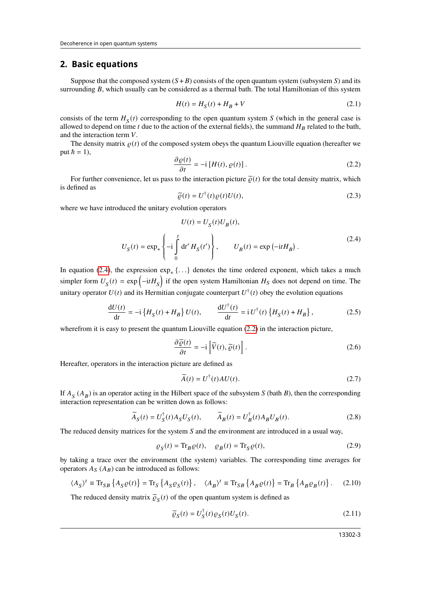#### <span id="page-2-0"></span>**2. Basic equations**

Suppose that the composed system  $(S + B)$  consists of the open quantum system (subsystem S) and its surrounding  $B$ , which usually can be considered as a thermal bath. The total Hamiltonian of this system

$$
H(t) = H_S(t) + H_B + V
$$
 (2.1)

consists of the term  $H_S(t)$  corresponding to the open quantum system S (which in the general case is allowed to depend on time  $t$  due to the action of the external fields), the summand  $H_B$  related to the bath, and the interaction term  $V$ .

The density matrix  $\rho(t)$  of the composed system obeys the quantum Liouville equation (hereafter we put  $\hbar = 1$ ),

<span id="page-2-2"></span>
$$
\frac{\partial \varrho(t)}{\partial t} = -i \left[ H(t), \varrho(t) \right]. \tag{2.2}
$$

For further convenience, let us pass to the interaction picture  $\tilde{\varrho}(t)$  for the total density matrix, which is defined as

$$
\widetilde{\varrho}(t) = U^{\dagger}(t)\varrho(t)U(t),\tag{2.3}
$$

where we have introduced the unitary evolution operators

<span id="page-2-1"></span>
$$
U(t) = U_S(t)U_B(t),
$$
  

$$
U_S(t) = \exp_+\left\{-i\int_0^t dt' H_S(t')\right\}, \qquad U_B(t) = \exp(-itH_B).
$$
 (2.4)

In equation [\(2.4\)](#page-2-1), the expression  $exp_+ \{ \ldots \}$  denotes the time ordered exponent, which takes a much simpler form  $U_S(t) = \exp(-itH_S)$  if the open system Hamiltonian  $H_S$  does not depend on time. The unitary operator  $U(t)$  and its Hermitian conjugate counterpart  $U^{\dagger}(t)$  obey the evolution equations

$$
\frac{\mathrm{d}U(t)}{\mathrm{d}t} = -\mathrm{i}\left\{H_S(t) + H_B\right\}U(t), \qquad \frac{\mathrm{d}U^\dagger(t)}{\mathrm{d}t} = \mathrm{i}\,U^\dagger(t)\left\{H_S(t) + H_B\right\},\tag{2.5}
$$

wherefrom it is easy to present the quantum Liouville equation [\(2.2\)](#page-2-2) in the interaction picture,

<span id="page-2-3"></span>
$$
\frac{\partial \widetilde{\varrho}(t)}{\partial t} = -i \left[ \widetilde{V}(t), \widetilde{\varrho}(t) \right].
$$
\n(2.6)

Hereafter, operators in the interaction picture are defined as

$$
\widetilde{A}(t) = U^{\dagger}(t)AU(t). \tag{2.7}
$$

If  $A_S (A_B)$  is an operator acting in the Hilbert space of the subsystem S (bath B), then the corresponding interaction representation can be written down as follows:

$$
\widetilde{A}_S(t) = U_S^{\dagger}(t) A_S U_S(t), \qquad \widetilde{A}_B(t) = U_B^{\dagger}(t) A_B U_B(t). \tag{2.8}
$$

The reduced density matrices for the system  $S$  and the environment are introduced in a usual way,

$$
\rho_S(t) = \text{Tr}_B \rho(t), \quad \rho_B(t) = \text{Tr}_S \rho(t), \tag{2.9}
$$

by taking a trace over the environment (the system) variables. The corresponding time averages for operators  $A_S(A_B)$  can be introduced as follows:

$$
\langle A_S \rangle^t \equiv \text{Tr}_{SB} \left\{ A_S \varrho(t) \right\} = \text{Tr}_S \left\{ A_S \varrho_S(t) \right\}, \quad \langle A_B \rangle^t \equiv \text{Tr}_{SB} \left\{ A_B \varrho(t) \right\} = \text{Tr}_B \left\{ A_B \varrho_B(t) \right\}. \tag{2.10}
$$

The reduced density matrix  $\tilde{\varrho}_S(t)$  of the open quantum system is defined as

$$
\widetilde{\varrho}_S(t) = U_S^{\dagger}(t)\varrho_S(t)U_S(t). \tag{2.11}
$$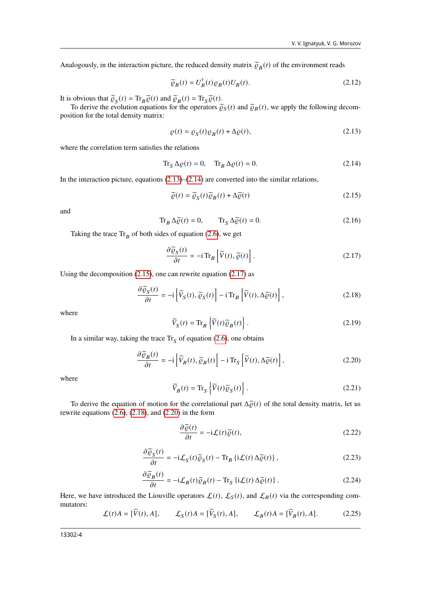Analogously, in the interaction picture, the reduced density matrix  $\tilde{\varrho}_B(t)$  of the environment reads

$$
\widetilde{\varrho}_B(t) = U_B^{\dagger}(t)\varrho_B(t)U_B(t). \tag{2.12}
$$

It is obvious that  $\tilde{\varrho}_S(t) = \text{Tr}_B \tilde{\varrho}(t)$  and  $\tilde{\varrho}_B(t) = \text{Tr}_S \tilde{\varrho}(t)$ .<br>To derive the evolution equations for the operators  $\tilde{\varrho}_S$ 

To derive the evolution equations for the operators  $\tilde{\varrho}_S(t)$  and  $\tilde{\varrho}_B(t)$ , we apply the following decomposition for the total density matrix:

<span id="page-3-0"></span>
$$
\varrho(t) = \varrho_S(t)\varrho_B(t) + \Delta\varrho(t),\tag{2.13}
$$

where the correlation term satisfies the relations

<span id="page-3-1"></span>
$$
\operatorname{Tr}_{S} \Delta \varrho(t) = 0, \quad \operatorname{Tr}_{B} \Delta \varrho(t) = 0.
$$
 (2.14)

In the interaction picture, equations  $(2.13)$ – $(2.14)$  are converted into the similar relations,

<span id="page-3-2"></span>
$$
\widetilde{\varrho}(t) = \widetilde{\varrho}_S(t)\widetilde{\varrho}_B(t) + \Delta\widetilde{\varrho}(t)
$$
\n(2.15)

and

<span id="page-3-10"></span>
$$
\operatorname{Tr}_{B} \Delta \widetilde{\varrho}(t) = 0, \qquad \operatorname{Tr}_{S} \Delta \widetilde{\varrho}(t) = 0. \tag{2.16}
$$

Taking the trace  $\text{Tr}_B$  of both sides of equation [\(2.6\)](#page-2-3), we get

<span id="page-3-3"></span>
$$
\frac{\partial \widetilde{\varrho}_S(t)}{\partial t} = -i \operatorname{Tr}_B \left[ \widetilde{V}(t), \widetilde{\varrho}(t) \right]. \tag{2.17}
$$

Using the decomposition [\(2.15\)](#page-3-2), one can rewrite equation [\(2.17\)](#page-3-3) as

<span id="page-3-4"></span>
$$
\frac{\partial \widetilde{\varrho}_S(t)}{\partial t} = -i \left[ \widetilde{V}_S(t), \widetilde{\varrho}_S(t) \right] - i \operatorname{Tr}_B \left[ \widetilde{V}(t), \Delta \widetilde{\varrho}(t) \right],\tag{2.18}
$$

where

$$
\widetilde{V}_S(t) = \text{Tr}_B \left\{ \widetilde{V}(t) \widetilde{\varrho}_B(t) \right\}.
$$
\n(2.19)

In a similar way, taking the trace  $\text{Tr}_{\text{S}}$  of equation [\(2.6\)](#page-2-3), one obtains

<span id="page-3-5"></span>
$$
\frac{\partial \widetilde{\varrho}_B(t)}{\partial t} = -i \left[ \widetilde{V}_B(t), \widetilde{\varrho}_B(t) \right] - i \operatorname{Tr}_S \left[ \widetilde{V}(t), \Delta \widetilde{\varrho}(t) \right],\tag{2.20}
$$

where

<span id="page-3-9"></span>
$$
\widetilde{V}_B(t) = \text{Tr}_S \left\{ \widetilde{V}(t) \widetilde{\varrho}_S(t) \right\}.
$$
\n(2.21)

To derive the equation of motion for the correlational part  $\Delta \tilde{\varrho}(t)$  of the total density matrix, let us rewrite equations [\(2.6\)](#page-2-3), [\(2.18\)](#page-3-4), and [\(2.20\)](#page-3-5) in the form

<span id="page-3-6"></span>
$$
\frac{\partial \widetilde{\varrho}(t)}{\partial t} = -i\mathcal{L}(t)\widetilde{\varrho}(t),\tag{2.22}
$$

<span id="page-3-8"></span>
$$
\frac{\partial \widetilde{\varrho}_S(t)}{\partial t} = -i\mathcal{L}_S(t)\widetilde{\varrho}_S(t) - \text{Tr}_B\left\{i\mathcal{L}(t)\Delta\widetilde{\varrho}(t)\right\},\tag{2.23}
$$

<span id="page-3-7"></span>
$$
\frac{\partial \widetilde{\varrho}_B(t)}{\partial t} = -i \mathcal{L}_B(t) \widetilde{\varrho}_B(t) - \text{Tr}_S \left\{ i \mathcal{L}(t) \Delta \widetilde{\varrho}(t) \right\}.
$$
\n(2.24)

Here, we have introduced the Liouville operators  $\mathcal{L}(t)$ ,  $\mathcal{L}_{S}(t)$ , and  $\mathcal{L}_{B}(t)$  via the corresponding commutators:

$$
\mathcal{L}(t)A = [\widetilde{V}(t), A], \qquad \mathcal{L}_S(t)A = [\widetilde{V}_S(t), A], \qquad \mathcal{L}_B(t)A = [\widetilde{V}_B(t), A]. \tag{2.25}
$$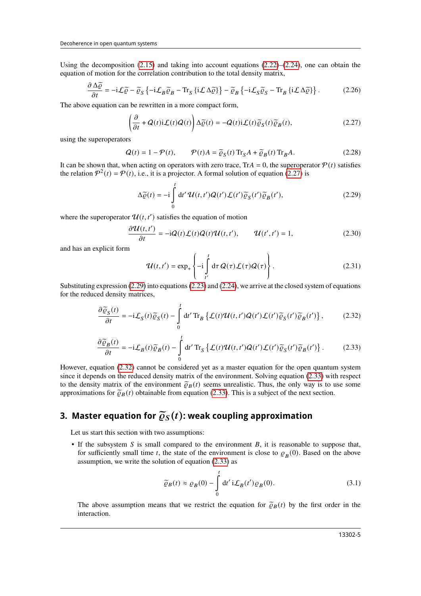Using the decomposition  $(2.15)$  and taking into account equations  $(2.22)$ – $(2.24)$ , one can obtain the equation of motion for the correlation contribution to the total density matrix,

$$
\frac{\partial \Delta \widetilde{\varrho}}{\partial t} = -i\mathcal{L}\widetilde{\varrho} - \widetilde{\varrho}_S \left\{ -i\mathcal{L}_B \widetilde{\varrho}_B - \text{Tr}_S \left\{ i\mathcal{L} \Delta \widetilde{\varrho} \right\} \right\} - \widetilde{\varrho}_B \left\{ -i\mathcal{L}_S \widetilde{\varrho}_S - \text{Tr}_B \left\{ i\mathcal{L} \Delta \widetilde{\varrho} \right\} \right\}.
$$
 (2.26)

The above equation can be rewritten in a more compact form,

<span id="page-4-1"></span>
$$
\left(\frac{\partial}{\partial t} + Q(t)\mathbf{i}\mathcal{L}(t)Q(t)\right)\Delta\widetilde{\varrho}(t) = -Q(t)\mathbf{i}\mathcal{L}(t)\widetilde{\varrho}_S(t)\widetilde{\varrho}_B(t),\tag{2.27}
$$

using the superoperators

$$
Q(t) = 1 - \mathcal{P}(t), \qquad \mathcal{P}(t)A = \widetilde{\varrho}_S(t) \operatorname{Tr}_S A + \widetilde{\varrho}_B(t) \operatorname{Tr}_B A. \tag{2.28}
$$

It can be shown that, when acting on operators with zero trace, Tr $A = 0$ , the superoperator  $\mathcal{P}(t)$  satisfies the relation  $\mathcal{P}^2(t) = \mathcal{P}(t)$ , i.e., it is a projector. A formal solution of equation [\(2.27\)](#page-4-1) is

<span id="page-4-2"></span>
$$
\Delta \widetilde{\varrho}(t) = -i \int_{0}^{t} dt' \, \mathcal{U}(t, t') \mathcal{Q}(t') \mathcal{L}(t') \widetilde{\varrho}_{S}(t') \widetilde{\varrho}_{B}(t'), \tag{2.29}
$$

where the superoperator  $\mathcal{U}(t, t')$  satisfies the equation of motion

$$
\frac{\partial \mathcal{U}(t,t')}{\partial t} = -iQ(t)\mathcal{L}(t)Q(t)\mathcal{U}(t,t'), \qquad \mathcal{U}(t',t') = 1,
$$
\n(2.30)

and has an explicit form

$$
\mathcal{U}(t,t') = \exp_{+}\left\{-i \int_{t'}^{t} d\tau \, Q(\tau) \mathcal{L}(\tau) Q(\tau)\right\}.
$$
 (2.31)

 Substituting expression [\(2.29\)](#page-4-2) into equations [\(2.23\)](#page-3-8) and [\(2.24\)](#page-3-7), we arrive at the closed system of equations for the reduced density matrices,

<span id="page-4-3"></span>
$$
\frac{\partial \widetilde{\varrho}_S(t)}{\partial t} = -i\mathcal{L}_S(t)\widetilde{\varrho}_S(t) - \int_0^t dt' \operatorname{Tr}_B \left\{ \mathcal{L}(t)\mathcal{U}(t,t')\mathcal{Q}(t')\mathcal{L}(t')\widetilde{\varrho}_S(t')\widetilde{\varrho}_B(t') \right\},\tag{2.32}
$$

<span id="page-4-4"></span>
$$
\frac{\partial \widetilde{\varrho}_B(t)}{\partial t} = -i\mathcal{L}_B(t)\widetilde{\varrho}_B(t) - \int_0^t dt' \operatorname{Tr}_S \left\{ \mathcal{L}(t)\mathcal{U}(t,t')\mathcal{Q}(t')\mathcal{L}(t')\widetilde{\varrho}_S(t')\widetilde{\varrho}_B(t') \right\}.
$$
 (2.33)

However, equation [\(2.32\)](#page-4-3) cannot be considered yet as a master equation for the open quantum system since it depends on the reduced density matrix of the environment. Solving equation [\(2.33\)](#page-4-4) with respect to the density matrix of the environment  $\tilde{\varrho}_B(t)$  seems unrealistic. Thus, the only way is to use some approximations for  $\tilde{\varrho}_B(t)$  obtainable from equation [\(2.33\)](#page-4-4). This is a subject of the next section.

## <span id="page-4-0"></span>**3. Master equation for**  $\widetilde{\varrho}_S(t)$ **: weak coupling approximation**

Let us start this section with two assumptions:

• If the subsystem  $S$  is small compared to the environment  $B$ , it is reasonable to suppose that, for sufficiently small time t, the state of the environment is close to  $\rho_B(0)$ . Based on the above assumption, we write the solution of equation [\(2.33\)](#page-4-4) as

<span id="page-4-5"></span>
$$
\widetilde{\varrho}_B(t) \approx \varrho_B(0) - \int_0^t dt' \,\mathrm{i}\mathcal{L}_B(t')\varrho_B(0). \tag{3.1}
$$

The above assumption means that we restrict the equation for  $\tilde{\varrho}_B(t)$  by the first order in the interaction.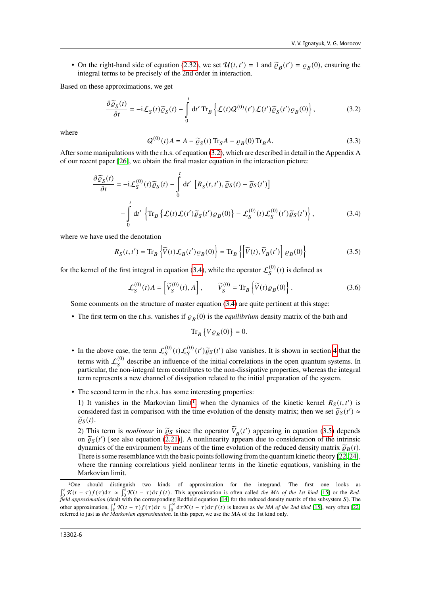• On the right-hand side of equation [\(2.32\)](#page-4-3), we set  $\mathcal{U}(t, t') = 1$  and  $\tilde{\varrho}_B(t') = \varrho_B(0)$ , ensuring the integral terms to be precisely of the 2nd order in integration integral terms to be precisely of the 2nd order in interaction.

Based on these approximations, we get

<span id="page-5-0"></span>
$$
\frac{\partial \widetilde{\varrho}_{S}(t)}{\partial t} = -i\mathcal{L}_{S}(t)\widetilde{\varrho}_{S}(t) - \int_{0}^{t} dt' \operatorname{Tr}_{B} \left\{ \mathcal{L}(t)Q^{(0)}(t')\mathcal{L}(t')\widetilde{\varrho}_{S}(t')\varrho_{B}(0) \right\},\tag{3.2}
$$

where

$$
Q^{(0)}(t)A = A - \tilde{\varrho}_S(t) \operatorname{Tr}_S A - \varrho_B(0) \operatorname{Tr}_B A.
$$
\n(3.3)

After some manipulations with the r.h.s. of equation [\(3.2\)](#page-5-0), which are described in detail in the Appendix A of our recent paper [\[26\]](#page-13-25), we obtain the final master equation in the interaction picture:

<span id="page-5-1"></span>
$$
\frac{\partial \widetilde{\varrho}_{S}(t)}{\partial t} = -i\mathcal{L}_{S}^{(0)}(t)\widetilde{\varrho}_{S}(t) - \int_{0}^{t} dt' \left[ R_{S}(t, t'), \widetilde{\varrho}_{S}(t) - \widetilde{\varrho}_{S}(t') \right]
$$

$$
-\int_{0}^{t} dt' \left\{ \text{Tr}_{B} \left\{ \mathcal{L}(t)\mathcal{L}(t')\widetilde{\varrho}_{S}(t')\varrho_{B}(0) \right\} - \mathcal{L}_{S}^{(0)}(t)\mathcal{L}_{S}^{(0)}(t')\widetilde{\varrho}_{S}(t') \right\},
$$
(3.4)

where we have used the denotation

<span id="page-5-3"></span>
$$
R_S(t, t') = \text{Tr}_B \left\{ \widetilde{V}(t) \mathcal{L}_B(t') \varrho_B(0) \right\} = \text{Tr}_B \left\{ \left[ \widetilde{V}(t), \widetilde{V}_B(t') \right] \varrho_B(0) \right\} \tag{3.5}
$$

for the kernel of the first integral in equation [\(3.4\)](#page-5-1), while the operator  $\mathcal{L}_{S}^{(0)}(t)$  is defined as

$$
\mathcal{L}_S^{(0)}(t)A = \left[ \widetilde{V}_S^{(0)}(t), A \right], \qquad \widetilde{V}_S^{(0)} = \text{Tr}_B \left\{ \widetilde{V}(t)\varrho_B(0) \right\}. \tag{3.6}
$$

Some comments on the structure of master equation [\(3.4\)](#page-5-1) are quite pertinent at this stage:

• The first term on the r.h.s. vanishes if  $\rho_B(0)$  is the *equilibrium* density matrix of the bath and

 $\text{Tr}_B \left\{ V \varrho_B(0) \right\} = 0.$ 

- In the above case, the term  $\mathcal{L}_S^{(0)}(t)\mathcal{L}_S^{(0)}(t')$  also vanishes. It is shown in section [4](#page-7-0) that the terms with  $\mathcal{L}_S^{(0)}$  describe an influence of the initial correlations in the open quantum systems. In particular, the non-integral term contributes to the non-dissipative properties, whereas the integral term represents a new channel of dissipation related to the initial preparation of the system.
- The second term in the r.h.s. has some interesting properties:

[1](#page-5-2)) It vanishes in the Markovian limit<sup>1</sup>, when the dynamics of the kinetic kernel  $R_S(t, t')$  is considered fast in comparison with the time evolution of the density matrix; then we set  $\tilde{\varrho}_S(t') \approx \tilde{\varrho}_S(t)$  $\tilde{\varrho}_S(t)$ .

2) This term is *nonlinear* in  $\tilde{\varrho}_S$  since the operator  $\tilde{V}_B(t')$  appearing in equation [\(3.5\)](#page-5-3) depends on  $\tilde{\varrho}_S(t')$  [see also equation [\(2.21\)](#page-3-9)]. A nonlinearity appears due to consideration of the intrinsic<br>dynamics of the environment by means of the time evolution of the reduced density matrix  $\tilde{\varrho}_D(t)$ . dynamics of the environment by means of the time evolution of the reduced density matrix  $\tilde{\rho}_B(t)$ . There is some resemblance with the basic points following from the quantum kinetic theory [\[22,](#page-13-21) [24\]](#page-13-23), where the running correlations yield nonlinear terms in the kinetic equations, vanishing in the Markovian limit.

<span id="page-5-2"></span><sup>1</sup>One should distinguish two kinds of approximation for the integrand. The first one looks as  $\int_0^t$  K(t − τ) f(τ)dτ ≈  $\int_0^t$  K(t − τ)dτf(t). This approximation is often called *the MA of the 1st kind* [\[15\]](#page-13-14) or the *Redfield approximation* (dealt with the corresponding Redfield equation [\[14\]](#page-13-13) for the reduced density matrix of the subsystem *S*). The other approximation,  $\int_0^t \mathcal{K}(t-\tau) f(\tau) d\tau \approx \int_0^{\infty} d\tau \mathcal{K}(t-\tau) d\tau f(t)$  is known as *the MA of the 2nd kind* [\[15\]](#page-13-14), very often [\[22\]](#page-13-21) referred to just as *the Markovian approximation*. In this paper, we use the MA of the 1st kind only.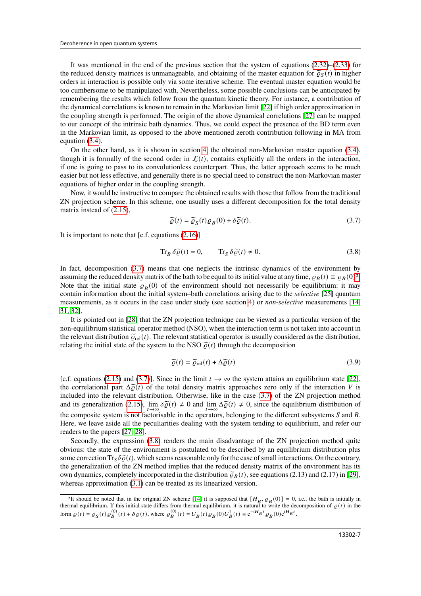It was mentioned in the end of the previous section that the system of equations  $(2.32)$ – $(2.33)$  for the reduced density matrices is unmanageable, and obtaining of the master equation for  $\tilde{\varrho}_S(t)$  in higher orders in interaction is possible only via some iterative scheme. The eventual master equation would be too cumbersome to be manipulated with. Nevertheless, some possible conclusions can be anticipated by remembering the results which follow from the quantum kinetic theory. For instance, a contribution of the dynamical correlations is known to remain in the Markovian limit [\[22\]](#page-13-21) if high order approximation in the coupling strength is performed. The origin of the above dynamical correlations [\[27\]](#page-13-26) can be mapped to our concept of the intrinsic bath dynamics. Thus, we could expect the presence of the BD term even in the Markovian limit, as opposed to the above mentioned zeroth contribution following in MA from equation [\(3.4\)](#page-5-1).

On the other hand, as it is shown in section [4,](#page-7-0) the obtained non-Markovian master equation [\(3.4\)](#page-5-1), though it is formally of the second order in  $\mathcal{L}(t)$ , contains explicitly all the orders in the interaction, if one is going to pass to its convolutionless counterpart. Thus, the latter approach seems to be much easier but not less effective, and generally there is no special need to construct the non-Markovian master equations of higher order in the coupling strength.

Now, it would be instructive to compare the obtained results with those that follow from the traditional ZN projection scheme. In this scheme, one usually uses a different decomposition for the total density matrix instead of [\(2.15\)](#page-3-2),

<span id="page-6-0"></span>
$$
\widetilde{\varrho}(t) = \widetilde{\varrho}_S(t)\varrho_B(0) + \delta \widetilde{\varrho}(t). \tag{3.7}
$$

It is important to note that  $[c.f.$  equations  $(2.16)]$  $(2.16)]$ 

<span id="page-6-2"></span>
$$
\operatorname{Tr}_{B} \delta \widetilde{\varrho}(t) = 0, \qquad \operatorname{Tr}_{S} \delta \widetilde{\varrho}(t) \neq 0. \tag{3.8}
$$

In fact, decomposition [\(3.7\)](#page-6-0) means that one neglects the intrinsic dynamics of the environment by assuming the reduced density matrix of the bath to be equal to its initial value at any time,  $\rho_B(t) \equiv \rho_B(0)^2$  $\rho_B(t) \equiv \rho_B(0)^2$ . Note that the initial state  $\rho_B(0)$  of the environment should not necessarily be equilibrium: it may contain information about the initial system–bath correlations arising due to the *selective* [\[25\]](#page-13-24) quantum measurements, as it occurs in the case under study (see section [4\)](#page-7-0) or *non-selective* measurements [\[14,](#page-13-13) [31,](#page-13-27) [32\]](#page-13-28).

It is pointed out in [\[28\]](#page-13-29) that the ZN projection technique can be viewed as a particular version of the non-equilibrium statistical operator method (NSO), when the interaction term is not taken into account in the relevant distribution  $\tilde{\rho}_{rel}(t)$ . The relevant statistical operator is usually considered as the distribution, relating the initial state of the system to the NSO  $\tilde{\rho}(t)$  through the decomposition

$$
\widetilde{\varrho}(t) = \widetilde{\varrho}_{\text{rel}}(t) + \Delta \widetilde{\varrho}(t) \tag{3.9}
$$

[c.f. equations [\(2.15\)](#page-3-2) and [\(3.7\)](#page-6-0)]. Since in the limit  $t \to \infty$  the system attains an equilibrium state [\[22\]](#page-13-21), the correlational part  $\Delta \tilde{\rho}(t)$  of the total density matrix approaches zero only if the interaction V is included into the relevant distribution. Otherwise, like in the case [\(3.7\)](#page-6-0) of the ZN projection method and its generalization [\(2.15\)](#page-3-2),  $\lim_{t \to \infty} \delta \tilde{\varrho}(t) \neq 0$  and  $\lim_{t \to \infty} \Delta \tilde{\varrho}(t) \neq 0$ , since the equilibrium distribution of the composite system is not factorisable in the operators, belonging to the different subsystems  $S$  and  $B$ . Here, we leave aside all the peculiarities dealing with the system tending to equilibrium, and refer our readers to the papers [\[27,](#page-13-26) [28\]](#page-13-29).

Secondly, the expression  $(3.8)$  renders the main disadvantage of the ZN projection method quite obvious: the state of the environment is postulated to be described by an equilibrium distribution plus some correction  $\text{Tr}_{\mathcal{S}}\delta\tilde{\rho}(t)$ , which seems reasonable only for the case of small interactions. On the contrary, the generalization of the ZN method implies that the reduced density matrix of the environment has its own dynamics, completely incorporated in the distribution  $\tilde{\varrho}_B(t)$ , see equations (2.13) and (2.17) in [\[29\]](#page-13-30), whereas approximation [\(3.1\)](#page-4-5) can be treated as its linearized version.

<span id="page-6-1"></span><sup>&</sup>lt;sup>2</sup>It should be noted that in the original ZN scheme [\[14\]](#page-13-13) it is supposed that  $[H_B, \varrho_B(0)] = 0$ , i.e., the bath is initially in thermal equilibrium. If this initial state differs from thermal equilibrium, it is natural to write the decomposition of  $\rho(t)$  in the form  $\rho(t) = \rho_S(t)\rho_B^{(0)}(t) + \delta \rho(t)$ , where  $\rho_B^{(0)}(t) = U_B(t)\rho_B(0)U_B^{\dagger}(t) \equiv e^{-iH_Bt}\rho_B(0)e^{iH_Bt}$ .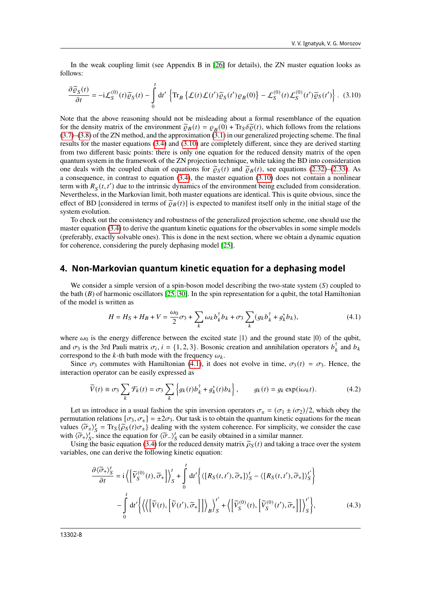In the weak coupling limit (see Appendix B in [\[26\]](#page-13-25) for details), the ZN master equation looks as follows:

<span id="page-7-1"></span>
$$
\frac{\partial \widetilde{\varrho}_{S}(t)}{\partial t} = -i\mathcal{L}_{S}^{(0)}(t)\widetilde{\varrho}_{S}(t) - \int_{0}^{t} dt' \left\{ \text{Tr}_{B} \left\{ \mathcal{L}(t)\mathcal{L}(t')\widetilde{\varrho}_{S}(t')\varrho_{B}(0) \right\} - \mathcal{L}_{S}^{(0)}(t)\mathcal{L}_{S}^{(0)}(t')\widetilde{\varrho}_{S}(t') \right\}.
$$
 (3.10)

Note that the above reasoning should not be misleading about a formal resemblance of the equation for the density matrix of the environment  $\tilde{\varrho}_B(t) = \varrho_B(0) + \text{Tr}_S \delta \tilde{\varrho}(t)$ , which follows from the relations (3.7) (3.8) of the ZN method, and the approximation (3.1) in our generalized projecting scheme. The final  $(3.7)$ – $(3.8)$  of the ZN method, and the approximation  $(3.1)$  in our generalized projecting scheme. The final results for the master equations [\(3.4\)](#page-5-1) and [\(3.10\)](#page-7-1) are completely different, since they are derived starting from two different basic points: there is only one equation for the reduced density matrix of the open quantum system in the framework of the ZN projection technique, while taking the BD into consideration one deals with the coupled chain of equations for  $\tilde{\varrho}_s(t)$  and  $\tilde{\varrho}_s(t)$ , see equations [\(2.32\)](#page-4-3)–[\(2.33\)](#page-4-4). As a consequence, in contrast to equation [\(3.4\)](#page-5-1), the master equation [\(3.10\)](#page-7-1) does not contain a nonlinear term with  $R<sub>S</sub>(t, t')$  due to the intrinsic dynamics of the environment being excluded from consideration. Nevertheless, in the Markovian limit, both master equations are identical. This is quite obvious, since the effect of BD [considered in terms of  $\tilde{\varrho}_B(t)$ ] is expected to manifest itself only in the initial stage of the system evolution.

To check out the consistency and robustness of the generalized projection scheme, one should use the master equation [\(3.4\)](#page-5-1) to derive the quantum kinetic equations for the observables in some simple models (preferably, exactly solvable ones). This is done in the next section, where we obtain a dynamic equation for coherence, considering the purely dephasing model [\[25\]](#page-13-24).

#### <span id="page-7-0"></span>**4. Non-Markovian quantum kinetic equation for a dephasing model**

We consider a simple version of a spin-boson model describing the two-state system  $(S)$  coupled to the bath  $(B)$  of harmonic oscillators [\[25,](#page-13-24) [30\]](#page-13-31). In the spin representation for a qubit, the total Hamiltonian of the model is written as

<span id="page-7-2"></span>
$$
H = H_S + H_B + V = \frac{\omega_0}{2}\sigma_3 + \sum_k \omega_k b_k^{\dagger} b_k + \sigma_3 \sum_k (g_k b_k^{\dagger} + g_k^* b_k), \tag{4.1}
$$

where  $\omega_0$  is the energy difference between the excited state  $|1\rangle$  and the ground state  $|0\rangle$  of the qubit, and  $\sigma_3$  is the 3rd Pauli matrix  $\sigma_i$ ,  $i = \{1, 2, 3\}$ . Bosonic creation and annihilation operators  $b_k^{\dagger}$  and  $b_k$ correspond to the k-th bath mode with the frequency  $\omega_k$ .

Since  $\sigma_3$  commutes with Hamiltonian [\(4.1\)](#page-7-2), it does not evolve in time,  $\sigma_3(t) = \sigma_3$ . Hence, the interaction operator can be easily expressed as

$$
\widetilde{V}(t) \equiv \sigma_3 \sum_{k} \mathcal{F}_k(t) = \sigma_3 \sum_{k} \left\{ g_k(t) b_k^{\dagger} + g_k^*(t) b_k \right\}, \qquad g_k(t) = g_k \exp(i\omega_k t). \tag{4.2}
$$

Let us introduce in a usual fashion the spin inversion operators  $\sigma_{\pm} = (\sigma_1 \pm i \sigma_2)/2$ , which obey the permutation relations  $[\sigma_3, \sigma_{\pm}] = \pm 2\sigma_3$ . Our task is to obtain the quantum kinetic equations for the mean values  $\langle \tilde{\sigma}_{\pm} \rangle_{S}^{t} = \text{Tr}_{S} \{ \tilde{\rho}_{S}(t) \sigma_{\pm} \}$  dealing with the system coherence. For simplicity, we consider the case with  $\langle \overline{\sigma}_+ \rangle_s^t$ , since the equation for  $\langle \overline{\sigma}_- \rangle_s^t$  can be easily obtained in a similar manner.<br>Listing the basic equation (3.4) for the reduced density matrix  $\overline{\hat{\sigma}}_c(t)$  and taking a t

Using the basic equation [\(3.4\)](#page-5-1) for the reduced density matrix  $\tilde{\rho}_S(t)$  and taking a trace over the system variables, one can derive the following kinetic equation:

<span id="page-7-3"></span>
$$
\frac{\partial \langle \tilde{\sigma}_{+} \rangle_{S}^{t}}{\partial t} = i \left\langle \left[ \tilde{V}_{S}^{(0)}(t), \tilde{\sigma}_{+} \right] \right\rangle_{S}^{t} + \int_{0}^{t} dt' \left\langle \left[ R_{S}(t, t'), \tilde{\sigma}_{+} \right] \rangle_{S}^{t} - \left\langle \left[ R_{S}(t, t'), \tilde{\sigma}_{+} \right] \right\rangle_{S}^{t'} \right\rangle
$$

$$
- \int_{0}^{t} dt' \left\langle \left\langle \left[ \tilde{V}(t), \left[ \tilde{V}(t'), \tilde{\sigma}_{+} \right] \right] \right\rangle_{B} \right\rangle_{S}^{t'} + \left\langle \left[ \tilde{V}_{S}^{(0)}(t), \left[ \tilde{V}_{S}^{(0)}(t'), \tilde{\sigma}_{+} \right] \right] \right\rangle_{S}^{t'} \right\rangle, \tag{4.3}
$$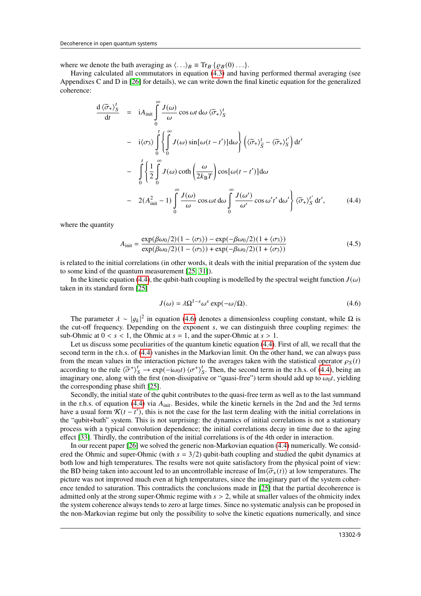where we denote the bath averaging as  $\langle \ldots \rangle_B \equiv \text{Tr}_B \{ \varrho_B(0) \ldots \}.$ 

Having calculated all commutators in equation [\(4.3\)](#page-7-3) and having performed thermal averaging (see Appendixes C and D in [\[26\]](#page-13-25) for details), we can write down the final kinetic equation for the generalized coherence:

<span id="page-8-0"></span>
$$
\frac{d \langle \tilde{\sigma}_{+} \rangle_{S}^{t}}{dt} = i A_{\text{init}} \int_{0}^{\infty} \frac{J(\omega)}{\omega} \cos \omega t \, d\omega \, \langle \tilde{\sigma}_{+} \rangle_{S}^{t}
$$
\n
$$
- i \langle \sigma_{3} \rangle \int_{0}^{t} \left\{ \int_{0}^{\infty} J(\omega) \sin[\omega(t - t')] d\omega \right\} \left( \langle \tilde{\sigma}_{+} \rangle_{\tilde{S}}^{t} - \langle \tilde{\sigma}_{+} \rangle_{S}^{t'} \right) dt'
$$
\n
$$
- \int_{0}^{t} \left\{ \frac{1}{2} \int_{0}^{\infty} J(\omega) \coth\left(\frac{\omega}{2k_{\text{B}}T}\right) \cos[\omega(t - t')] d\omega \right\}
$$
\n
$$
- 2(A_{\text{init}}^{2} - 1) \int_{0}^{\infty} \frac{J(\omega)}{\omega} \cos \omega t \, d\omega \int_{0}^{\infty} \frac{J(\omega')}{\omega'} \cos \omega' t' \, d\omega' \right\} \langle \tilde{\sigma}_{+} \rangle_{S}^{t'} dt', \qquad (4.4)
$$

where the quantity

<span id="page-8-2"></span>
$$
A_{\text{init}} = \frac{\exp(\beta \omega_0/2)(1 - \langle \sigma_3 \rangle) - \exp(-\beta \omega_0/2)(1 + \langle \sigma_3 \rangle)}{\exp(\beta \omega_0/2)(1 - \langle \sigma_3 \rangle) + \exp(-\beta \omega_0/2)(1 + \langle \sigma_3 \rangle)}
$$
(4.5)

is related to the initial correlations (in other words, it deals with the initial preparation of the system due to some kind of the quantum measurement [\[25,](#page-13-24) [31\]](#page-13-27)).

In the kinetic equation [\(4.4\)](#page-8-0), the qubit-bath coupling is modelled by the spectral weight function  $J(\omega)$ taken in its standard form [\[25\]](#page-13-24)

<span id="page-8-1"></span>
$$
J(\omega) = \lambda \Omega^{1-s} \omega^s \exp(-\omega/\Omega). \tag{4.6}
$$

The parameter  $\lambda \sim |g_k|^2$  in equation [\(4.6\)](#page-8-1) denotes a dimensionless coupling constant, while  $\Omega$  is the cut-off frequency. Depending on the exponent  $s$ , we can distinguish three coupling regimes: the sub-Ohmic at  $0 < s < 1$ , the Ohmic at  $s = 1$ , and the super-Ohmic at  $s > 1$ .

Let us discuss some peculiarities of the quantum kinetic equation [\(4.4\)](#page-8-0). First of all, we recall that the second term in the r.h.s. of [\(4.4\)](#page-8-0) vanishes in the Markovian limit. On the other hand, we can always pass from the mean values in the interaction picture to the averages taken with the statistical operator  $\rho_S(t)$ according to the rule  $\langle \tilde{\sigma}^+ \rangle^t_S \to \exp(-i\omega_0 t) \langle \sigma^+ \rangle^t_S$ . Then, the second term in the r.h.s. of [\(4.4\)](#page-8-0), being an imaginary one along with the first (non discipative or "quasi-free") term should add up to cut, vial d imaginary one, along with the first (non-dissipative or "quasi-free") term should add up to  $\omega_0 t$ , yielding the corresponding phase shift [\[25\]](#page-13-24).

Secondly, the initial state of the qubit contributes to the quasi-free term as well as to the last summand in the r.h.s. of equation [\(4.4\)](#page-8-0) via  $A_{init}$ . Besides, while the kinetic kernels in the 2nd and the 3rd terms have a usual form  $\mathcal{K}(t-t')$ , this is not the case for the last term dealing with the initial correlations in the "qubit+bath" system. This is not surprising: the dynamics of initial correlations is not a stationary process with a typical convolution dependence; the initial correlations decay in time due to the aging effect [\[33\]](#page-13-32). Thirdly, the contribution of the initial correlations is of the 4th order in interaction.

In our recent paper [\[26\]](#page-13-25) we solved the generic non-Markovian equation [\(4.4\)](#page-8-0) numerically. We considered the Ohmic and super-Ohmic (with  $s = 3/2$ ) qubit-bath coupling and studied the qubit dynamics at both low and high temperatures. The results were not quite satisfactory from the physical point of view: the BD being taken into account led to an uncontrollable increase of Im $\langle \tilde{\sigma}_+(t) \rangle$  at low temperatures. The picture was not improved much even at high temperatures, since the imaginary part of the system coherence tended to saturation. This contradicts the conclusions made in [\[25\]](#page-13-24) that the partial decoherence is admitted only at the strong super-Ohmic regime with  $s > 2$ , while at smaller values of the ohmicity index the system coherence always tends to zero at large times. Since no systematic analysis can be proposed in the non-Markovian regime but only the possibility to solve the kinetic equations numerically, and since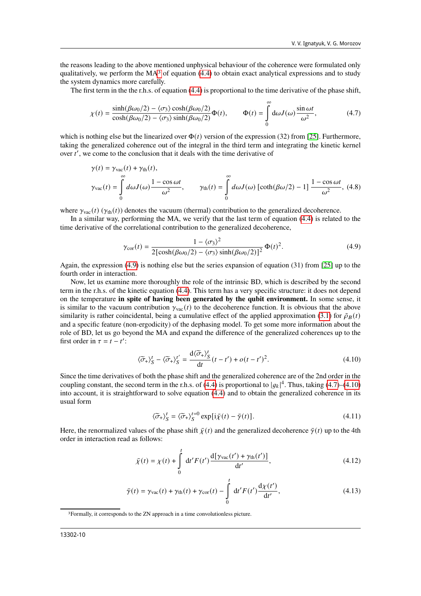the reasons leading to the above mentioned unphysical behaviour of the coherence were formulated only qualitatively, we perform the  $MA<sup>3</sup>$  $MA<sup>3</sup>$  $MA<sup>3</sup>$  of equation [\(4.4\)](#page-8-0) to obtain exact analytical expressions and to study the system dynamics more carefully.

The first term in the the r.h.s. of equation [\(4.4\)](#page-8-0) is proportional to the time derivative of the phase shift,

<span id="page-9-2"></span>
$$
\chi(t) = \frac{\sinh(\beta\omega_0/2) - \langle \sigma_3 \rangle \cosh(\beta\omega_0/2)}{\cosh(\beta\omega_0/2) - \langle \sigma_3 \rangle \sinh(\beta\omega_0/2)} \Phi(t), \qquad \Phi(t) = \int_0^\infty d\omega J(\omega) \frac{\sin \omega t}{\omega^2},
$$
(4.7)

which is nothing else but the linearized over  $\Phi(t)$  version of the expression (32) from [\[25\]](#page-13-24). Furthermore, taking the generalized coherence out of the integral in the third term and integrating the kinetic kernel over  $t'$ , we come to the conclusion that it deals with the time derivative of

$$
\gamma(t) = \gamma_{\text{vac}}(t) + \gamma_{\text{th}}(t),
$$
  
\n
$$
\gamma_{\text{vac}}(t) = \int_{0}^{\infty} d\omega J(\omega) \frac{1 - \cos \omega t}{\omega^2}, \qquad \gamma_{\text{th}}(t) = \int_{0}^{\infty} d\omega J(\omega) \left[ \coth(\beta \omega/2) - 1 \right] \frac{1 - \cos \omega t}{\omega^2}, (4.8)
$$

where  $\gamma_{\text{vac}}(t)$  ( $\gamma_{\text{th}}(t)$ ) denotes the vacuum (thermal) contribution to the generalized decoherence.

In a similar way, performing the MA, we verify that the last term of equation [\(4.4\)](#page-8-0) is related to the time derivative of the correlational contribution to the generalized decoherence,

<span id="page-9-1"></span>
$$
\gamma_{\text{cor}}(t) = \frac{1 - \langle \sigma_3 \rangle^2}{2[\cosh(\beta \omega_0/2) - \langle \sigma_3 \rangle \sinh(\beta \omega_0/2)]^2} \Phi(t)^2.
$$
 (4.9)

Again, the expression [\(4.9\)](#page-9-1) is nothing else but the series expansion of equation (31) from [\[25\]](#page-13-24) up to the fourth order in interaction.

Now, let us examine more thoroughly the role of the intrinsic BD, which is described by the second term in the r.h.s. of the kinetic equation [\(4.4\)](#page-8-0). This term has a very specific structure: it does not depend on the temperature **in spite of having been generated by the qubit environment.** In some sense, it is similar to the vacuum contribution  $\gamma_{\text{vac}}(t)$  to the decoherence function. It is obvious that the above similarity is rather coincidental, being a cumulative effect of the applied approximation [\(3.1\)](#page-4-5) for  $\tilde{\rho}_B(t)$ and a specific feature (non-ergodicity) of the dephasing model. To get some more information about the role of BD, let us go beyond the MA and expand the difference of the generalized coherences up to the first order in  $\tau = t - t'$ :

<span id="page-9-3"></span>
$$
\langle \widetilde{\sigma}_+ \rangle_S^t - \langle \widetilde{\sigma}_+ \rangle_S^{t'} = \frac{\mathrm{d}\langle \widetilde{\sigma}_+ \rangle_S^t}{\mathrm{d}t} (t - t') + o(t - t')^2. \tag{4.10}
$$

Since the time derivatives of both the phase shift and the generalized coherence are of the 2nd order in the coupling constant, the second term in the r.h.s. of [\(4.4\)](#page-8-0) is proportional to  $|g_k|^4$ . Thus, taking [\(4.7\)](#page-9-2)–[\(4.10\)](#page-9-3) into account, it is straightforward to solve equation [\(4.4\)](#page-8-0) and to obtain the generalized coherence in its usual form

<span id="page-9-6"></span>
$$
\langle \widetilde{\sigma}_{+} \rangle_{S}^{t} = \langle \widetilde{\sigma}_{+} \rangle_{S}^{t=0} \exp[i \bar{\chi}(t) - \bar{\gamma}(t)]. \tag{4.11}
$$

Here, the renormalized values of the phase shift  $\bar{\gamma}(t)$  and the generalized decoherence  $\bar{\gamma}(t)$  up to the 4th order in interaction read as follows:

<span id="page-9-4"></span>
$$
\bar{\chi}(t) = \chi(t) + \int_{0}^{t} dt' F(t') \frac{d[\gamma_{\text{vac}}(t') + \gamma_{\text{th}}(t')]}{dt'},
$$
\n(4.12)

<span id="page-9-5"></span>
$$
\bar{\gamma}(t) = \gamma_{\text{vac}}(t) + \gamma_{\text{th}}(t) + \gamma_{\text{cor}}(t) - \int_{0}^{t} dt' F(t') \frac{d\chi(t')}{dt'},
$$
\n(4.13)

<span id="page-9-0"></span><sup>3</sup>Formally, it corresponds to the ZN approach in a time convolutionless picture.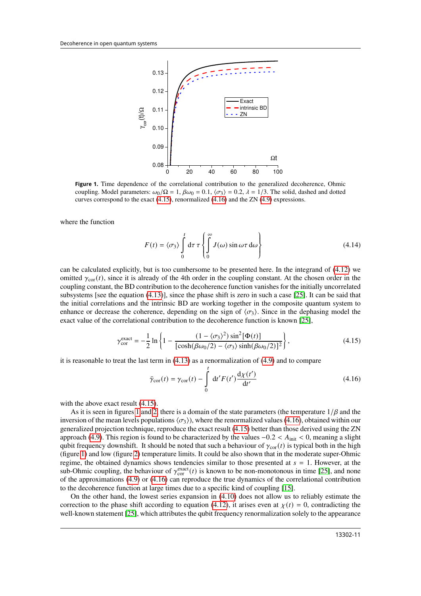

<span id="page-10-2"></span>**Figure 1.** Time dependence of the correlational contribution to the generalized decoherence, Ohmic coupling. Model parameters:  $\omega_0/\Omega = 1$ ,  $\beta\omega_0 = 0.1$ ,  $\langle \sigma_3 \rangle = 0.2$ ,  $\lambda = 1/3$ . The solid, dashed and dotted curves correspond to the exact  $(4.15)$ , renormalized  $(4.16)$  and the ZN  $(4.9)$  expressions.

where the function

$$
F(t) = \langle \sigma_3 \rangle \int_0^t d\tau \tau \left\{ \int_0^\infty J(\omega) \sin \omega \tau d\omega \right\}
$$
 (4.14)

can be calculated explicitly, but is too cumbersome to be presented here. In the integrand of [\(4.12\)](#page-9-4) we omitted  $\gamma_{\text{cor}}(t)$ , since it is already of the 4th order in the coupling constant. At the chosen order in the coupling constant, the BD contribution to the decoherence function vanishes for the initially uncorrelated subsystems [see the equation [\(4.13\)](#page-9-5)], since the phase shift is zero in such a case [\[25\]](#page-13-24). It can be said that the initial correlations and the intrinsic BD are working together in the composite quantum system to enhance or decrease the coherence, depending on the sign of  $\langle \sigma_3 \rangle$ . Since in the dephasing model the exact value of the correlational contribution to the decoherence function is known [\[25\]](#page-13-24),

<span id="page-10-0"></span>
$$
\gamma_{\rm cor}^{\rm exact} = -\frac{1}{2} \ln \left\{ 1 - \frac{(1 - \langle \sigma_3 \rangle^2) \sin^2[\Phi(t)]}{\left[ \cosh(\beta \omega_0/2) - \langle \sigma_3 \rangle \sinh(\beta \omega_0/2) \right]^2} \right\},\tag{4.15}
$$

it is reasonable to treat the last term in  $(4.13)$  as a renormalization of  $(4.9)$  and to compare

<span id="page-10-1"></span>
$$
\bar{\gamma}_{\text{cor}}(t) = \gamma_{\text{cor}}(t) - \int_{0}^{t} dt' F(t') \frac{d\chi(t')}{dt'}
$$
\n(4.16)

with the above exact result  $(4.15)$ .

As it is seen in figures [1](#page-10-2) and [2,](#page-11-0) there is a domain of the state parameters (the temperature  $1/\beta$  and the inversion of the mean levels populations  $\langle \sigma_3 \rangle$ , where the renormalized values [\(4.16\)](#page-10-1), obtained within our generalized projection technique, reproduce the exact result [\(4.15\)](#page-10-0) better than those derived using the ZN approach [\(4.9\)](#page-9-1). This region is found to be characterized by the values  $-0.2 < A<sub>init</sub> < 0$ , meaning a slight qubit frequency downshift. It should be noted that such a behaviour of  $\gamma_{\text{cor}}(t)$  is typical both in the high (figure [1\)](#page-10-2) and low (figure [2\)](#page-11-0) temperature limits. It could be also shown that in the moderate super-Ohmic regime, the obtained dynamics shows tendencies similar to those presented at  $s = 1$ . However, at the sub-Ohmic coupling, the behaviour of  $\gamma_{\rm cor}^{\rm exact}(t)$  is known to be non-monotonous in time [\[25\]](#page-13-24), and none of the approximations [\(4.9\)](#page-9-1) or [\(4.16\)](#page-10-1) can reproduce the true dynamics of the correlational contribution to the decoherence function at large times due to a specific kind of coupling [\[15\]](#page-13-14).

On the other hand, the lowest series expansion in [\(4.10\)](#page-9-3) does not allow us to reliably estimate the correction to the phase shift according to equation [\(4.12\)](#page-9-4), it arises even at  $\chi(t) = 0$ , contradicting the well-known statement [\[25\]](#page-13-24), which attributes the qubit frequency renormalization solely to the appearance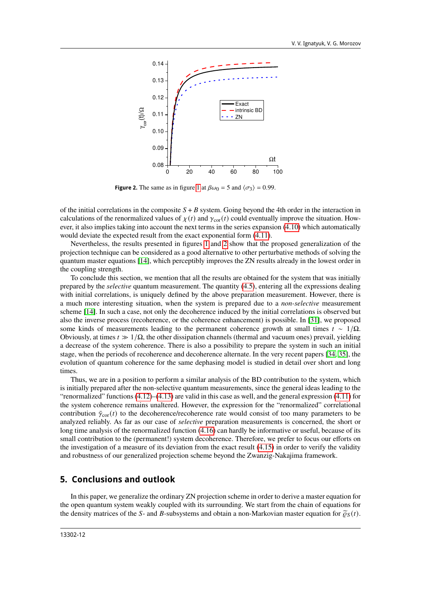

<span id="page-11-0"></span>**Figure 2.** The same as in figure [1](#page-10-2) at  $\beta \omega_0 = 5$  and  $\langle \sigma_3 \rangle = 0.99$ .

of the initial correlations in the composite  $S + B$  system. Going beyond the 4th order in the interaction in calculations of the renormalized values of  $\chi(t)$  and  $\gamma_{\text{cor}}(t)$  could eventually improve the situation. However, it also implies taking into account the next terms in the series expansion [\(4.10\)](#page-9-3) which automatically would deviate the expected result from the exact exponential form [\(4.11\)](#page-9-6).

Nevertheless, the results presented in figures [1](#page-10-2) and [2](#page-11-0) show that the proposed generalization of the projection technique can be considered as a good alternative to other perturbative methods of solving the quantum master equations [\[14\]](#page-13-13), which perceptibly improves the ZN results already in the lowest order in the coupling strength.

To conclude this section, we mention that all the results are obtained for the system that was initially prepared by the *selective* quantum measurement. The quantity [\(4.5\)](#page-8-2), entering all the expressions dealing with initial correlations, is uniquely defined by the above preparation measurement. However, there is a much more interesting situation, when the system is prepared due to a *non-selective* measurement scheme [\[14\]](#page-13-13). In such a case, not only the decoherence induced by the initial correlations is observed but also the inverse process (recoherence, or the coherence enhancement) is possible. In [\[31\]](#page-13-27), we proposed some kinds of measurements leading to the permanent coherence growth at small times  $t \sim 1/\Omega$ . Obviously, at times  $t \gg 1/\Omega$ , the other dissipation channels (thermal and vacuum ones) prevail, yielding a decrease of the system coherence. There is also a possibility to prepare the system in such an initial stage, when the periods of recoherence and decoherence alternate. In the very recent papers [\[34,](#page-13-33) [35\]](#page-13-34), the evolution of quantum coherence for the same dephasing model is studied in detail over short and long times.

Thus, we are in a position to perform a similar analysis of the BD contribution to the system, which is initially prepared after the non-selective quantum measurements, since the general ideas leading to the "renormalized" functions [\(4.12\)](#page-9-4)–[\(4.13\)](#page-9-5) are valid in this case as well, and the general expression [\(4.11\)](#page-9-6) for the system coherence remains unaltered. However, the expression for the "renormalized" correlational contribution  $\bar{\gamma}_{cor}(t)$  to the decoherence/recoherence rate would consist of too many parameters to be analyzed reliably. As far as our case of *selective* preparation measurements is concerned, the short or long time analysis of the renormalized function [\(4.16\)](#page-10-1) can hardly be informative or useful, because of its small contribution to the (permanent!) system decoherence. Therefore, we prefer to focus our efforts on the investigation of a measure of its deviation from the exact result [\(4.15\)](#page-10-0) in order to verify the validity and robustness of our generalized projection scheme beyond the Zwanzig-Nakajima framework.

### **5. Conclusions and outlook**

In this paper, we generalize the ordinary ZN projection scheme in order to derive a master equation for the open quantum system weakly coupled with its surrounding. We start from the chain of equations for the density matrices of the S- and B-subsystems and obtain a non-Markovian master equation for  $\tilde{\varrho}_S(t)$ .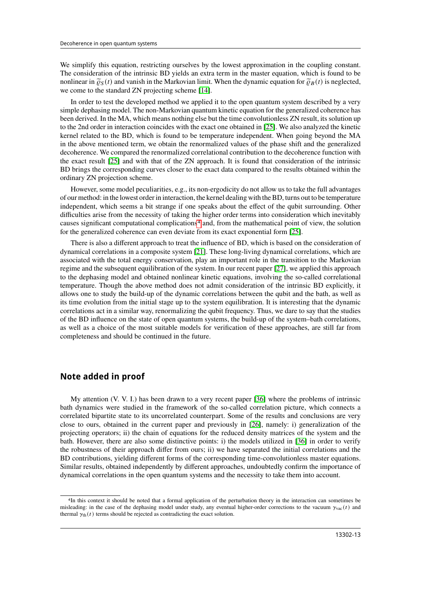We simplify this equation, restricting ourselves by the lowest approximation in the coupling constant. The consideration of the intrinsic BD yields an extra term in the master equation, which is found to be nonlinear in  $\tilde{\varrho}_S(t)$  and vanish in the Markovian limit. When the dynamic equation for  $\tilde{\varrho}_B(t)$  is neglected, we come to the standard ZN projecting scheme [\[14\]](#page-13-13).

In order to test the developed method we applied it to the open quantum system described by a very simple dephasing model. The non-Markovian quantum kinetic equation for the generalized coherence has been derived. In the MA, which means nothing else but the time convolutionless ZN result, its solution up to the 2nd order in interaction coincides with the exact one obtained in [\[25\]](#page-13-24). We also analyzed the kinetic kernel related to the BD, which is found to be temperature independent. When going beyond the MA in the above mentioned term, we obtain the renormalized values of the phase shift and the generalized decoherence. We compared the renormalized correlational contribution to the decoherence function with the exact result [\[25\]](#page-13-24) and with that of the ZN approach. It is found that consideration of the intrinsic BD brings the corresponding curves closer to the exact data compared to the results obtained within the ordinary ZN projection scheme.

However, some model peculiarities, e.g., its non-ergodicity do not allow us to take the full advantages of our method: in the lowest order in interaction, the kernel dealing with the BD, turns out to be temperature independent, which seems a bit strange if one speaks about the effect of the qubit surrounding. Other difficulties arise from the necessity of taking the higher order terms into consideration which inevitably causes significant computational complications[4](#page-12-0) and, from the mathematical point of view, the solution for the generalized coherence can even deviate from its exact exponential form [\[25\]](#page-13-24).

There is also a different approach to treat the influence of BD, which is based on the consideration of dynamical correlations in a composite system [\[21\]](#page-13-20). These long-living dynamical correlations, which are associated with the total energy conservation, play an important role in the transition to the Markovian regime and the subsequent equilibration of the system. In our recent paper [\[27\]](#page-13-26), we applied this approach to the dephasing model and obtained nonlinear kinetic equations, involving the so-called correlational temperature. Though the above method does not admit consideration of the intrinsic BD explicitly, it allows one to study the build-up of the dynamic correlations between the qubit and the bath, as well as its time evolution from the initial stage up to the system equilibration. It is interesting that the dynamic correlations act in a similar way, renormalizing the qubit frequency. Thus, we dare to say that the studies of the BD influence on the state of open quantum systems, the build-up of the system–bath correlations, as well as a choice of the most suitable models for verification of these approaches, are still far from completeness and should be continued in the future.

#### **Note added in proof**

My attention (V. V. I.) has been drawn to a very recent paper [\[36\]](#page-13-35) where the problems of intrinsic bath dynamics were studied in the framework of the so-called correlation picture, which connects a correlated bipartite state to its uncorrelated counterpart. Some of the results and conclusions are very close to ours, obtained in the current paper and previously in [\[26\]](#page-13-25), namely: i) generalization of the projecting operators; ii) the chain of equations for the reduced density matrices of the system and the bath. However, there are also some distinctive points: i) the models utilized in [\[36\]](#page-13-35) in order to verify the robustness of their approach differ from ours; ii) we have separated the initial correlations and the BD contributions, yielding different forms of the corresponding time-convolutionless master equations. Similar results, obtained independently by different approaches, undoubtedly confirm the importance of dynamical correlations in the open quantum systems and the necessity to take them into account.

<span id="page-12-0"></span><sup>4</sup>In this context it should be noted that a formal application of the perturbation theory in the interaction can sometimes be misleading: in the case of the dephasing model under study, any eventual higher-order corrections to the vacuum  $\gamma_{\text{vac}}(t)$  and thermal  $\gamma_{\text{th}}(t)$  terms should be rejected as contradicting the exact solution.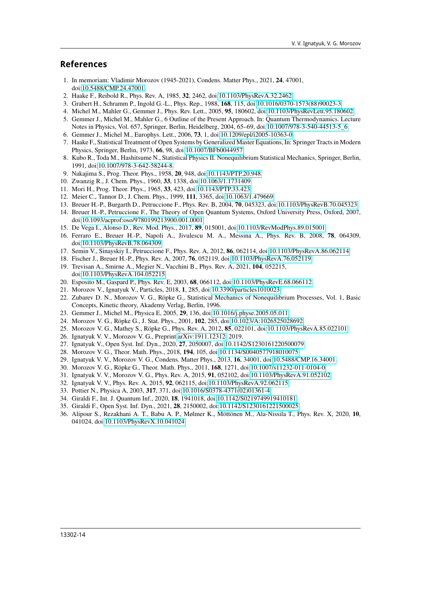#### **References**

- <span id="page-13-12"></span>1. In memoriam: Vladimir Morozov (1945-2021), Condens. Matter Phys., 2021, **24**, 47001, doi[:10.5488/CMP.24.47001.](https://doi.org/10.5488/CMP.24.47001)
- <span id="page-13-0"></span>2. Haake F., Reibold R., Phys. Rev. A, 1985, **32**, 2462, doi[:10.1103/PhysRevA.32.2462.](https://doi.org/10.1103/PhysRevA.32.2462)
- <span id="page-13-1"></span>3. Grabert H., Schramm P., Ingold G.-L., Phys. Rep., 1988, **168**, 115, doi[:10.1016/0370-1573\(88\)90023-3.](https://doi.org/10.1016/0370-1573(88)90023-3)
- <span id="page-13-2"></span>4. Michel M., Mahler G., Gemmer J., Phys. Rev. Lett., 2005, **95**, 180602, doi[:10.1103/PhysRevLett.95.180602.](https://doi.org/10.1103/PhysRevLett.95.180602)
- <span id="page-13-3"></span>5. Gemmer J., Michel M., Mahler G., 6 Outline of the Present Approach. In: Quantum Thermodynamics. Lecture Notes in Physics, Vol. 657, Springer, Berlin, Heidelberg, 2004, 65–69, doi[:10.1007/978-3-540-44513-5\\_6.](https://doi.org/10.1007/978-3-540-44513-5_6)
- <span id="page-13-4"></span>6. Gemmer J., Michel M., Europhys. Lett., 2006, **73**, 1, doi[:10.1209/epl/i2005-10363-0.](https://doi.org/10.1209/epl/i2005-10363-0)
- <span id="page-13-5"></span>7. Haake F., Statistical Treatment of Open Systems by Generalized Master Equations, In: Springer Tracts in Modern Physics, Springer, Berlin, 1973, **66**, 98, doi[:10.1007/BFb0044957.](https://doi.org/10.1007/BFb0044957)
- <span id="page-13-6"></span>8. Kubo R., Toda M., Hashitsume N., Statistical Physics II. Nonequilibrium Statistical Mechanics, Springer, Berlin, 1991, doi[:10.1007/978-3-642-58244-8.](https://doi.org/10.1007/978-3-642-58244-8)
- <span id="page-13-7"></span>9. Nakajima S., Prog. Theor. Phys., 1958, **20**, 948, doi[:10.1143/PTP.20.948.](https://doi.org/10.1143/PTP.20.948)
- <span id="page-13-8"></span>10. Zwanzig R., J. Chem. Phys., 1960, **33**, 1338, doi[:10.1063/1.1731409.](https://doi.org/10.1063/1.1731409)
- <span id="page-13-9"></span>11. Mori H., Prog. Theor. Phys., 1965, **33**, 423, doi[:10.1143/PTP.33.423.](https://doi.org/10.1143/PTP.33.423)
- <span id="page-13-10"></span>12. Meier C., Tannor D., J. Chem. Phys., 1999, **111**, 3365, doi[:10.1063/1.479669.](https://doi.org/10.1063/1.479669)
- <span id="page-13-11"></span>13. Breuer H.-P., Burgarth D., Petruccione F., Phys. Rev. B, 2004, **70**, 045323, doi[:10.1103/PhysRevB.70.045323.](https://doi.org/10.1103/PhysRevB.70.045323)
- <span id="page-13-13"></span>14. Breuer H.-P., Petruccione F., The Theory of Open Quantum Systems, Oxford University Press, Oxford, 2007, doi[:10.1093/acprof:oso/9780199213900.001.0001.](https://doi.org/10.1093/acprof:oso/9780199213900.001.0001)
- <span id="page-13-14"></span>15. De Vega I., Alonso D., Rev. Mod. Phys., 2017, **89**, 015001, doi[:10.1103/RevModPhys.89.015001.](https://doi.org/10.1103/RevModPhys.89.015001)
- <span id="page-13-15"></span>16. Ferraro E., Breuer H.-P., Napoli A., Jivulescu M. A., Messina A., Phys. Rev. B, 2008, **78**, 064309, doi[:10.1103/PhysRevB.78.064309.](https://doi.org/10.1103/PhysRevB.78.064309)
- <span id="page-13-16"></span>17. Semin V., Sinayskiy I., Petruccione F., Phys. Rev. A, 2012, **86**, 062114, doi[:10.1103/PhysRevA.86.062114.](https://doi.org/10.1103/PhysRevA.86.062114)
- <span id="page-13-17"></span>18. Fischer J., Breuer H.-P., Phys. Rev. A, 2007, **76**, 052119, doi[:10.1103/PhysRevA.76.052119.](https://doi.org/10.1103/PhysRevA.76.052119)
- <span id="page-13-18"></span>19. Trevisan A., Smirne A., Megier N., Vacchini B., Phys. Rev. A, 2021, **104**, 052215, doi[:10.1103/PhysRevA.104.052215](https://doi.org/10.1103/PhysRevA.104.052215)
- <span id="page-13-19"></span>20. Esposito M., Gaspard P., Phys. Rev. E, 2003, **68**, 066112, doi[:10.1103/PhysRevE.68.066112.](https://doi.org/10.1103/PhysRevE.68.066112)
- <span id="page-13-20"></span>21. Morozov V., Ignatyuk V., Particles, 2018, **1**, 285, doi[:10.3390/particles1010023.](https://doi.org/10.3390/particles1010023)
- <span id="page-13-21"></span>22. Zubarev D. N., Morozov V. G., Röpke G., Statistical Mechanics of Nonequilibrium Processes, Vol. 1, Basic Concepts, Kinetic theory, Akademy Verlag, Berlin, 1996.
- <span id="page-13-22"></span>23. Gemmer J., Michel M., Physica E, 2005, **29**, 136, doi[:10.1016/j.physe.2005.05.011.](https://doi.org/10.1016/j.physe.2005.05.011)
- <span id="page-13-23"></span>24. Morozov V. G., Röpke G., J. Stat. Phys., 2001, **102**, 285, doi[:10.1023/A:1026525028692.](https://doi.org/10.1023/A:1026525028692)
- <span id="page-13-24"></span>25. Morozov V. G., Mathey S., Röpke G., Phys. Rev. A, 2012, **85**, 022101, doi[:10.1103/PhysRevA.85.022101.](https://doi.org/10.1103/PhysRevA.85.022101)
- <span id="page-13-25"></span>26. Ignatyuk V. V., Morozov V. G., Preprint [arXiv:1911.12312,](https://arxiv.org/abs/1911.12312) 2019.
- <span id="page-13-26"></span>27. Ignatyuk V., Open Syst. Inf. Dyn., 2020, **27**, 2050007, doi[:10.1142/S1230161220500079.](https://doi.org/10.1142/S1230161220500079)
- <span id="page-13-29"></span>28. Morozov V. G., Theor. Math. Phys., 2018, **194**, 105, doi[:10.1134/S0040577918010075.](https://doi.org/10.1134/S0040577918010075)
- <span id="page-13-30"></span>29. Ignatyuk V. V., Morozov V. G., Condens. Matter Phys., 2013, **16**, 34001, doi[:10.5488/CMP.16.34001.](https://doi.org/10.5488/CMP.16.34001)
- <span id="page-13-31"></span>30. Morozov V. G., Röpke G., Theor. Math. Phys., 2011, **168**, 1271, doi[:10.1007/s11232-011-0104-0.](https://doi.org/10.1007/s11232-011-0104-0)
- <span id="page-13-27"></span>31. Ignatyuk V. V., Morozov V. G., Phys. Rev. A, 2015, **91**, 052102, doi[:10.1103/PhysRevA.91.052102.](https://doi.org/10.1103/PhysRevA.91.052102)
- <span id="page-13-28"></span>32. Ignatyuk V. V., Phys. Rev. A, 2015, **92**, 062115, doi[:10.1103/PhysRevA.92.062115.](https://doi.org/10.1103/PhysRevA.92.062115)
- <span id="page-13-32"></span>33. Pottier N., Physica A, 2003, **317**, 371, doi[:10.1016/S0378-4371\(02\)01361-4.](https://doi.org/10.1016/S0378-4371(02)01361-4)
- <span id="page-13-33"></span>34. Giraldi F., Int. J. Quantum Inf., 2020, **18**, 1941018, doi[:10.1142/S0219749919410181.](https://doi.org/10.1142/S0219749919410181)
- <span id="page-13-34"></span>35. Giraldi F., Open Syst. Inf. Dyn., 2021, **28**, 2150002, doi[:10.1142/S1230161221500025.](https://doi.org/10.1142/S1230161221500025)
- <span id="page-13-35"></span>36. Alipour S., Rezakhani A. T., Babu A. P., Mølmer K., Möttönen M., Ala-Nissila T., Phys. Rev. X, 2020, **10**, 041024, doi[:10.1103/PhysRevX.10.041024.](https://doi.org/10.1103/PhysRevX.10.041024)